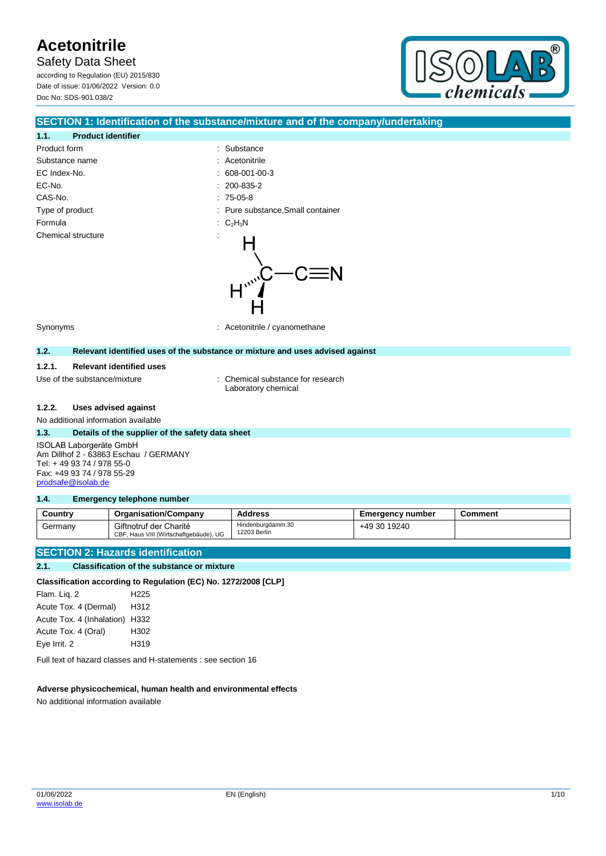Safety Data Sheet

according to Regulation (EU) 2015/830 Date of issue: 01/06/2022 Version: 0.0 Doc No: SDS-901.038/2



#### **SECTION 1: Identification of the substance/mixture and of the company/undertaking**

### **1.1. Product identifier** Product form  $\qquad \qquad$ : Substance Substance name : Acetonitrile EC Index-No. : 608-001-00-3 EC-No. CAS-No. Type of product Formula Chemical structure

|    | 200-835-2                       |
|----|---------------------------------|
|    | $: 75-05-8$                     |
|    | Pure substance, Small container |
| ÷  | $C_2H_3N$                       |
| ä, | $\mu_{\nu}$                     |

Synonyms : Acetonitrile / cyanomethane

#### **1.2. Relevant identified uses of the substance or mixture and uses advised against**

#### **1.2.1. Relevant identified uses**

Use of the substance/mixture : Chemical substance for research Laboratory chemical

#### **1.2.2. Uses advised against**

No additional information available

#### **1.3. Details of the supplier of the safety data sheet**

ISOLAB Laborgeräte GmbH Am Dillhof 2 - 63863 Eschau / GERMANY Tel: + 49 93 74 / 978 55-0 Fax: +49 93 74 / 978 55-29 [prodsafe@isolab.de](mailto:prodsafe@isolab.de)

#### **1.4. Emergency telephone number**

| Country | <b>Organisation/Company</b>                                      | <b>Address</b>                    | <b>Emergency number</b> | Comment |
|---------|------------------------------------------------------------------|-----------------------------------|-------------------------|---------|
| Germany | Giftnotruf der Charité<br>CBF, Haus VIII (Wirtschaftgebäude), UG | Hindenburgdamm 30<br>12203 Berlin | +49 30 19240            |         |

#### **SECTION 2: Hazards identification**

#### **2.1. Classification of the substance or mixture**

#### **Classification according to Regulation (EC) No. 1272/2008 [CLP]**

Flam. Liq. 2 H225 Acute Tox. 4 (Dermal) H312 Acute Tox. 4 (Inhalation) H332 Acute Tox. 4 (Oral) H302 Eye Irrit. 2 H319

Full text of hazard classes and H-statements : see section 16

#### **Adverse physicochemical, human health and environmental effects**

No additional information available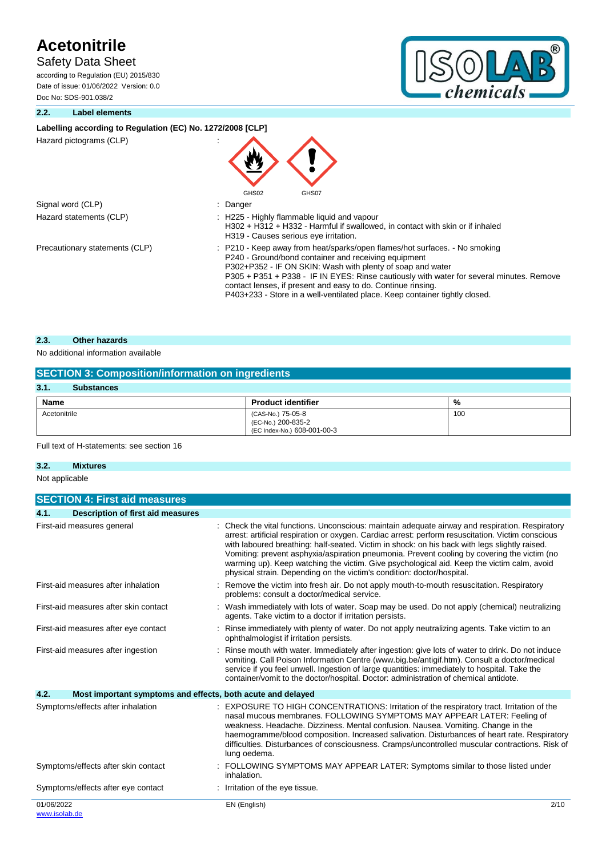## Safety Data Sheet

according to Regulation (EU) 2015/830 Date of issue: 01/06/2022 Version: 0.0 Doc No: SDS-901.038/2



#### **2.2. Label elements**

#### Labelling according to Regulation (EC) No. 1272/2008 [CLP]

Hazard pictograms (CLP) :

|                                | E J<br>GHS02<br>GHS07                                                                                                                                                                                                                                                                                                                                                                                                                       |
|--------------------------------|---------------------------------------------------------------------------------------------------------------------------------------------------------------------------------------------------------------------------------------------------------------------------------------------------------------------------------------------------------------------------------------------------------------------------------------------|
| Signal word (CLP)              | : Danger                                                                                                                                                                                                                                                                                                                                                                                                                                    |
| Hazard statements (CLP)        | : H225 - Highly flammable liquid and vapour<br>H302 + H312 + H332 - Harmful if swallowed, in contact with skin or if inhaled<br>H319 - Causes serious eye irritation.                                                                                                                                                                                                                                                                       |
| Precautionary statements (CLP) | : P210 - Keep away from heat/sparks/open flames/hot surfaces. - No smoking<br>P240 - Ground/bond container and receiving equipment<br>P302+P352 - IF ON SKIN: Wash with plenty of soap and water<br>P305 + P351 + P338 - IF IN EYES: Rinse cautiously with water for several minutes. Remove<br>contact lenses, if present and easy to do. Continue rinsing.<br>P403+233 - Store in a well-ventilated place. Keep container tightly closed. |

**AL** 

#### **2.3. Other hazards**

#### No additional information available

| <b>SECTION 3: Composition/information on ingredients</b> |                                                                        |     |  |  |  |
|----------------------------------------------------------|------------------------------------------------------------------------|-----|--|--|--|
| 3.1.<br><b>Substances</b>                                |                                                                        |     |  |  |  |
| Name<br><b>Product identifier</b><br>%                   |                                                                        |     |  |  |  |
| Acetonitrile                                             | (CAS-No.) 75-05-8<br>(EC-No.) 200-835-2<br>(EC Index-No.) 608-001-00-3 | 100 |  |  |  |

#### Full text of H-statements: see section 16

#### **3.2. Mixtures**

Not applicable

| <b>SECTION 4: First aid measures</b>                                |                                                                                                                                                                                                                                                                                                                                                                                                                                                                                                                                                                            |
|---------------------------------------------------------------------|----------------------------------------------------------------------------------------------------------------------------------------------------------------------------------------------------------------------------------------------------------------------------------------------------------------------------------------------------------------------------------------------------------------------------------------------------------------------------------------------------------------------------------------------------------------------------|
| 4.1.<br><b>Description of first aid measures</b>                    |                                                                                                                                                                                                                                                                                                                                                                                                                                                                                                                                                                            |
| First-aid measures general                                          | Check the vital functions. Unconscious: maintain adequate airway and respiration. Respiratory<br>arrest: artificial respiration or oxygen. Cardiac arrest: perform resuscitation. Victim conscious<br>with laboured breathing: half-seated. Victim in shock: on his back with legs slightly raised.<br>Vomiting: prevent asphyxia/aspiration pneumonia. Prevent cooling by covering the victim (no<br>warming up). Keep watching the victim. Give psychological aid. Keep the victim calm, avoid<br>physical strain. Depending on the victim's condition: doctor/hospital. |
| First-aid measures after inhalation                                 | Remove the victim into fresh air. Do not apply mouth-to-mouth resuscitation. Respiratory<br>problems: consult a doctor/medical service.                                                                                                                                                                                                                                                                                                                                                                                                                                    |
| First-aid measures after skin contact                               | Wash immediately with lots of water. Soap may be used. Do not apply (chemical) neutralizing<br>agents. Take victim to a doctor if irritation persists.                                                                                                                                                                                                                                                                                                                                                                                                                     |
| First-aid measures after eye contact                                | Rinse immediately with plenty of water. Do not apply neutralizing agents. Take victim to an<br>ophthalmologist if irritation persists.                                                                                                                                                                                                                                                                                                                                                                                                                                     |
| First-aid measures after ingestion                                  | Rinse mouth with water. Immediately after ingestion: give lots of water to drink. Do not induce<br>vomiting. Call Poison Information Centre (www.big.be/antigif.htm). Consult a doctor/medical<br>service if you feel unwell. Ingestion of large quantities: immediately to hospital. Take the<br>container/vomit to the doctor/hospital. Doctor: administration of chemical antidote.                                                                                                                                                                                     |
| 4.2.<br>Most important symptoms and effects, both acute and delayed |                                                                                                                                                                                                                                                                                                                                                                                                                                                                                                                                                                            |
| Symptoms/effects after inhalation                                   | EXPOSURE TO HIGH CONCENTRATIONS: Irritation of the respiratory tract. Irritation of the<br>nasal mucous membranes. FOLLOWING SYMPTOMS MAY APPEAR LATER: Feeling of<br>weakness. Headache. Dizziness. Mental confusion. Nausea. Vomiting. Change in the<br>haemogramme/blood composition. Increased salivation. Disturbances of heart rate. Respiratory<br>difficulties. Disturbances of consciousness. Cramps/uncontrolled muscular contractions. Risk of<br>lung oedema.                                                                                                  |
| Symptoms/effects after skin contact                                 | FOLLOWING SYMPTOMS MAY APPEAR LATER: Symptoms similar to those listed under<br>inhalation.                                                                                                                                                                                                                                                                                                                                                                                                                                                                                 |
| Symptoms/effects after eye contact                                  | Irritation of the eye tissue.                                                                                                                                                                                                                                                                                                                                                                                                                                                                                                                                              |
| 01/06/2022<br>www.isolab.de                                         | EN (English)<br>2/10                                                                                                                                                                                                                                                                                                                                                                                                                                                                                                                                                       |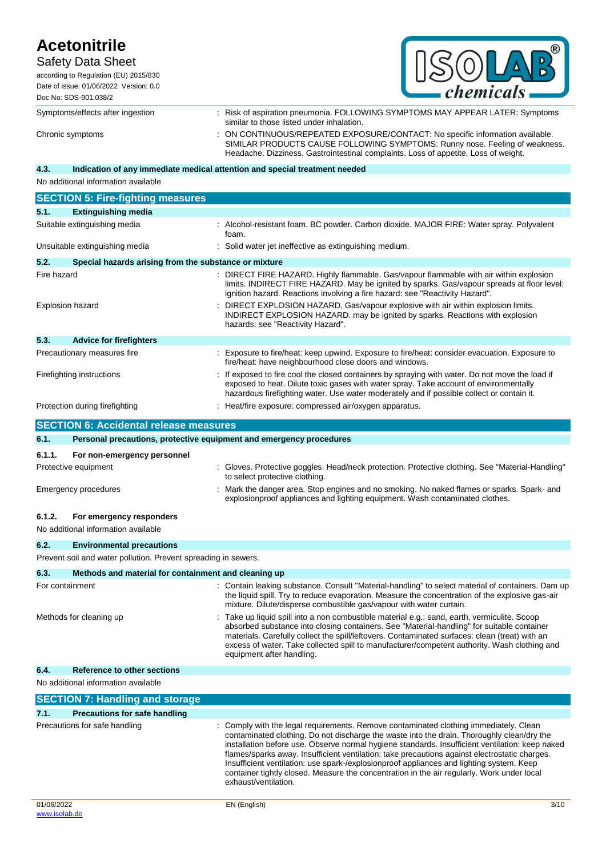### Safety Data Sheet

according to Regulation (EU) 2015/830

| hemicals<br>$\sim$ |
|--------------------|

Date of issue: 01/06/2022 Version: 0.0 Doc No: SDS-901.038/2

Symptoms/effects after ingestion : Risk of aspiration pneumonia. FOLLOWING SYMPTOMS MAY APPEAR LATER: Symptoms similar to those listed under inhalation. Chronic symptoms : ON CONTINUOUS/REPEATED EXPOSURE/CONTACT: No specific information available. SIMILAR PRODUCTS CAUSE FOLLOWING SYMPTOMS: Runny nose. Feeling of weakness. Headache. Dizziness. Gastrointestinal complaints. Loss of appetite. Loss of weight.

### **4.3. Indication of any immediate medical attention and special treatment needed**

No additional information available

|                                | <b>SECTION 5: Fire-fighting measures</b>              |  |                                                                                                                                                                                                                                                                                     |  |  |  |
|--------------------------------|-------------------------------------------------------|--|-------------------------------------------------------------------------------------------------------------------------------------------------------------------------------------------------------------------------------------------------------------------------------------|--|--|--|
| 5.1.                           | <b>Extinguishing media</b>                            |  |                                                                                                                                                                                                                                                                                     |  |  |  |
|                                | Suitable extinguishing media                          |  | : Alcohol-resistant foam. BC powder. Carbon dioxide. MAJOR FIRE: Water spray. Polyvalent<br>foam.                                                                                                                                                                                   |  |  |  |
|                                | Unsuitable extinguishing media                        |  | Solid water jet ineffective as extinguishing medium.                                                                                                                                                                                                                                |  |  |  |
| 5.2.                           | Special hazards arising from the substance or mixture |  |                                                                                                                                                                                                                                                                                     |  |  |  |
| Fire hazard                    |                                                       |  | : DIRECT FIRE HAZARD. Highly flammable. Gas/vapour flammable with air within explosion<br>limits. INDIRECT FIRE HAZARD. May be ignited by sparks. Gas/vapour spreads at floor level:<br>ignition hazard. Reactions involving a fire hazard: see "Reactivity Hazard".                |  |  |  |
| Explosion hazard               |                                                       |  | DIRECT EXPLOSION HAZARD. Gas/vapour explosive with air within explosion limits.<br>INDIRECT EXPLOSION HAZARD. may be ignited by sparks. Reactions with explosion<br>hazards: see "Reactivity Hazard".                                                                               |  |  |  |
| 5.3.                           | <b>Advice for firefighters</b>                        |  |                                                                                                                                                                                                                                                                                     |  |  |  |
|                                | Precautionary measures fire                           |  | Exposure to fire/heat: keep upwind. Exposure to fire/heat: consider evacuation. Exposure to<br>fire/heat: have neighbourhood close doors and windows.                                                                                                                               |  |  |  |
|                                | Firefighting instructions                             |  | If exposed to fire cool the closed containers by spraying with water. Do not move the load if<br>exposed to heat. Dilute toxic gases with water spray. Take account of environmentally<br>hazardous firefighting water. Use water moderately and if possible collect or contain it. |  |  |  |
| Protection during firefighting |                                                       |  | Heat/fire exposure: compressed air/oxygen apparatus.                                                                                                                                                                                                                                |  |  |  |

|                               | <b>SECTION 6: Accidental release measures</b>                       |                                                                                                                                                                                                                                                                                                                                                                                                                                                                                                                                                                                 |  |  |
|-------------------------------|---------------------------------------------------------------------|---------------------------------------------------------------------------------------------------------------------------------------------------------------------------------------------------------------------------------------------------------------------------------------------------------------------------------------------------------------------------------------------------------------------------------------------------------------------------------------------------------------------------------------------------------------------------------|--|--|
| 6.1.                          | Personal precautions, protective equipment and emergency procedures |                                                                                                                                                                                                                                                                                                                                                                                                                                                                                                                                                                                 |  |  |
| 6.1.1.                        | For non-emergency personnel                                         |                                                                                                                                                                                                                                                                                                                                                                                                                                                                                                                                                                                 |  |  |
|                               | Protective equipment                                                | : Gloves. Protective goggles. Head/neck protection. Protective clothing. See "Material-Handling"<br>to select protective clothing.                                                                                                                                                                                                                                                                                                                                                                                                                                              |  |  |
|                               | <b>Emergency procedures</b>                                         | Mark the danger area. Stop engines and no smoking. No naked flames or sparks. Spark- and<br>explosionproof appliances and lighting equipment. Wash contaminated clothes.                                                                                                                                                                                                                                                                                                                                                                                                        |  |  |
| 6.1.2.                        | For emergency responders<br>No additional information available     |                                                                                                                                                                                                                                                                                                                                                                                                                                                                                                                                                                                 |  |  |
| 6.2.                          | <b>Environmental precautions</b>                                    |                                                                                                                                                                                                                                                                                                                                                                                                                                                                                                                                                                                 |  |  |
|                               | Prevent soil and water pollution. Prevent spreading in sewers.      |                                                                                                                                                                                                                                                                                                                                                                                                                                                                                                                                                                                 |  |  |
| 6.3.                          | Methods and material for containment and cleaning up                |                                                                                                                                                                                                                                                                                                                                                                                                                                                                                                                                                                                 |  |  |
| For containment               |                                                                     | Contain leaking substance. Consult "Material-handling" to select material of containers. Dam up<br>the liquid spill. Try to reduce evaporation. Measure the concentration of the explosive gas-air<br>mixture. Dilute/disperse combustible gas/vapour with water curtain.                                                                                                                                                                                                                                                                                                       |  |  |
|                               | Methods for cleaning up                                             | Take up liquid spill into a non combustible material e.g.: sand, earth, vermiculite. Scoop<br>absorbed substance into closing containers. See "Material-handling" for suitable container<br>materials. Carefully collect the spill/leftovers. Contaminated surfaces: clean (treat) with an<br>excess of water. Take collected spill to manufacturer/competent authority. Wash clothing and<br>equipment after handling.                                                                                                                                                         |  |  |
| 6.4.                          | <b>Reference to other sections</b>                                  |                                                                                                                                                                                                                                                                                                                                                                                                                                                                                                                                                                                 |  |  |
|                               | No additional information available                                 |                                                                                                                                                                                                                                                                                                                                                                                                                                                                                                                                                                                 |  |  |
|                               | <b>SECTION 7: Handling and storage</b>                              |                                                                                                                                                                                                                                                                                                                                                                                                                                                                                                                                                                                 |  |  |
| 7.1.                          | <b>Precautions for safe handling</b>                                |                                                                                                                                                                                                                                                                                                                                                                                                                                                                                                                                                                                 |  |  |
| Precautions for safe handling |                                                                     | Comply with the legal requirements. Remove contaminated clothing immediately. Clean<br>contaminated clothing. Do not discharge the waste into the drain. Thoroughly clean/dry the<br>installation before use. Observe normal hygiene standards. Insufficient ventilation: keep naked<br>flames/sparks away. Insufficient ventilation: take precautions against electrostatic charges.<br>Insufficient ventilation: use spark-/explosionproof appliances and lighting system. Keep<br>container tightly closed. Measure the concentration in the air regularly. Work under local |  |  |

exhaust/ventilation.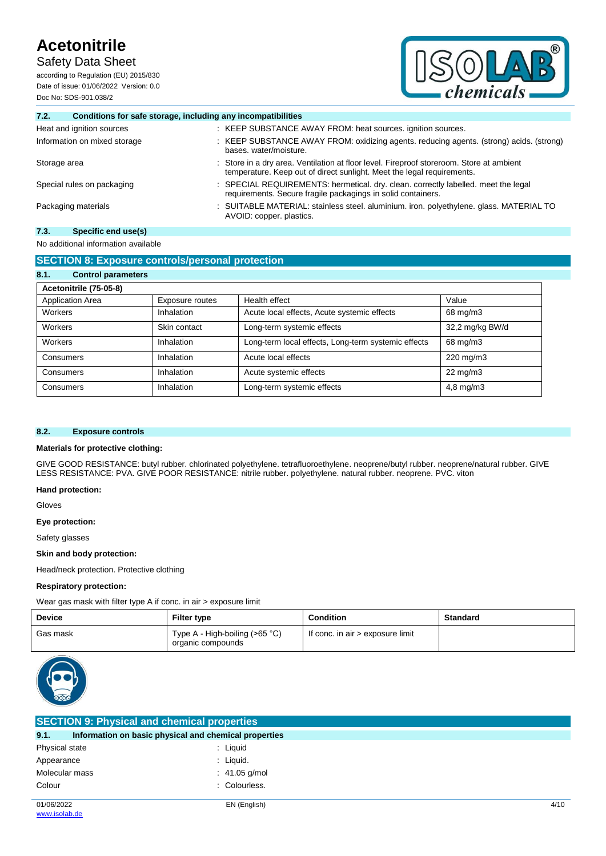Safety Data Sheet

according to Regulation (EU) 2015/830 Date of issue: 01/06/2022 Version: 0.0 Doc No: SDS-901.038/2



#### **7.2. Conditions for safe storage, including any incompatibilities**

| Heat and ignition sources    | : KEEP SUBSTANCE AWAY FROM: heat sources. ignition sources.                                                                                                        |
|------------------------------|--------------------------------------------------------------------------------------------------------------------------------------------------------------------|
| Information on mixed storage | : KEEP SUBSTANCE AWAY FROM: oxidizing agents. reducing agents. (strong) acids. (strong)<br>bases, water/moisture.                                                  |
| Storage area                 | : Store in a dry area. Ventilation at floor level. Fireproof storeroom. Store at ambient<br>temperature. Keep out of direct sunlight. Meet the legal requirements. |
| Special rules on packaging   | : SPECIAL REQUIREMENTS: hermetical. dry. clean. correctly labelled. meet the legal<br>requirements. Secure fragile packagings in solid containers.                 |
| Packaging materials          | : SUITABLE MATERIAL: stainless steel. aluminium. iron. polyethylene. glass. MATERIAL TO<br>AVOID: copper. plastics.                                                |

### **7.3. Specific end use(s)**

### No additional information available

| <b>SECTION 8: Exposure controls/personal protection</b> |                 |                                                     |                   |  |  |  |
|---------------------------------------------------------|-----------------|-----------------------------------------------------|-------------------|--|--|--|
| 8.1.<br><b>Control parameters</b>                       |                 |                                                     |                   |  |  |  |
| Acetonitrile (75-05-8)                                  |                 |                                                     |                   |  |  |  |
| <b>Application Area</b>                                 | Exposure routes | Health effect                                       | Value             |  |  |  |
| Workers                                                 | Inhalation      | Acute local effects, Acute systemic effects         | 68 mg/m3          |  |  |  |
| Workers                                                 | Skin contact    | Long-term systemic effects                          | 32,2 mg/kg BW/d   |  |  |  |
| Workers                                                 | Inhalation      | Long-term local effects, Long-term systemic effects | 68 mg/m3          |  |  |  |
| Consumers                                               | Inhalation      | Acute local effects                                 | 220 mg/m3         |  |  |  |
| Consumers                                               | Inhalation      | Acute systemic effects                              | $22 \text{ mg/m}$ |  |  |  |
| Consumers                                               | Inhalation      | Long-term systemic effects                          | $4,8$ mg/m $3$    |  |  |  |

#### **8.2. Exposure controls**

#### **Materials for protective clothing:**

GIVE GOOD RESISTANCE: butyl rubber. chlorinated polyethylene. tetrafluoroethylene. neoprene/butyl rubber. neoprene/natural rubber. GIVE LESS RESISTANCE: PVA. GIVE POOR RESISTANCE: nitrile rubber. polyethylene. natural rubber. neoprene. PVC. viton

#### **Hand protection:**

Gloves

#### **Eye protection:**

Safety glasses

#### **Skin and body protection:**

Head/neck protection. Protective clothing

#### **Respiratory protection:**

Wear gas mask with filter type A if conc. in air > exposure limit

| <b>Device</b> | <b>Filter type</b>                                  | <b>Condition</b>                 | Standard |
|---------------|-----------------------------------------------------|----------------------------------|----------|
| Gas mask      | Type A - High-boiling (>65 °C)<br>organic compounds | If conc. in air > exposure limit |          |



| <b>SECTION 9: Physical and chemical properties</b> |                                                       |      |  |  |
|----------------------------------------------------|-------------------------------------------------------|------|--|--|
| 9.1.                                               | Information on basic physical and chemical properties |      |  |  |
| Physical state                                     | : Liquid                                              |      |  |  |
| Appearance                                         | : Liquid.                                             |      |  |  |
| Molecular mass                                     | : $41.05$ g/mol                                       |      |  |  |
| Colour                                             | : Colourless.                                         |      |  |  |
| 01/06/2022                                         | EN (English)                                          | 4/10 |  |  |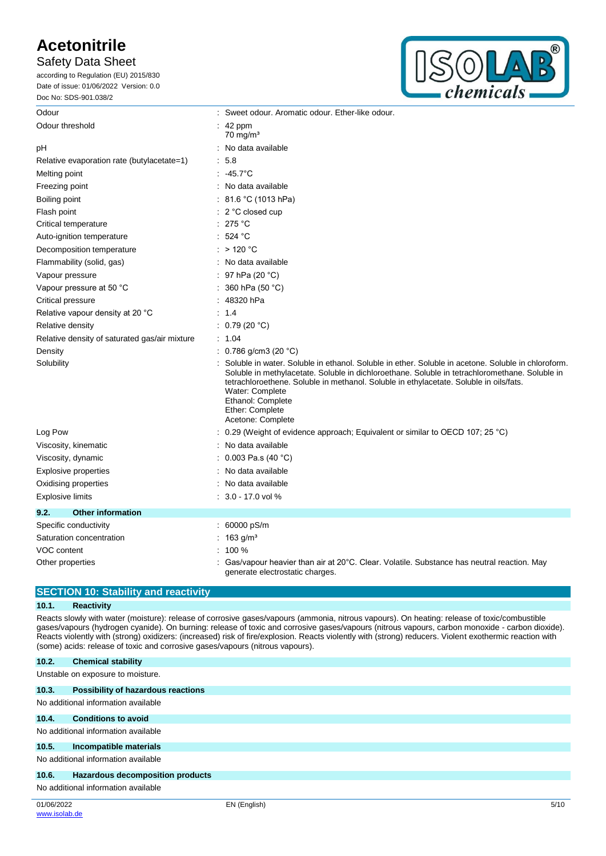### Safety Data Sheet

according to Regulation (EU) 2015/830 Date of issue: 01/06/2022 Version: 0.0 Doc No: SDS-901.038/2



| Odour                                           |                                                                                                                                                                                                                                                                                                                                                                                | : Sweet odour. Aromatic odour. Ether-like odour.                                                                             |  |  |
|-------------------------------------------------|--------------------------------------------------------------------------------------------------------------------------------------------------------------------------------------------------------------------------------------------------------------------------------------------------------------------------------------------------------------------------------|------------------------------------------------------------------------------------------------------------------------------|--|--|
| Odour threshold                                 |                                                                                                                                                                                                                                                                                                                                                                                | $\therefore$ 42 ppm<br>$70 \text{ mg/m}^3$                                                                                   |  |  |
| pH                                              |                                                                                                                                                                                                                                                                                                                                                                                | No data available                                                                                                            |  |  |
| Relative evaporation rate (butylacetate=1)      |                                                                                                                                                                                                                                                                                                                                                                                | 5.8                                                                                                                          |  |  |
| Melting point                                   |                                                                                                                                                                                                                                                                                                                                                                                | $.45.7^{\circ}$ C                                                                                                            |  |  |
| Freezing point                                  |                                                                                                                                                                                                                                                                                                                                                                                | : No data available                                                                                                          |  |  |
| Boiling point                                   |                                                                                                                                                                                                                                                                                                                                                                                | 81.6 °C (1013 hPa)                                                                                                           |  |  |
| Flash point                                     |                                                                                                                                                                                                                                                                                                                                                                                | $\therefore$ 2 °C closed cup                                                                                                 |  |  |
| Critical temperature                            |                                                                                                                                                                                                                                                                                                                                                                                | : 275 °C                                                                                                                     |  |  |
| Auto-ignition temperature                       |                                                                                                                                                                                                                                                                                                                                                                                | : 524 °C                                                                                                                     |  |  |
| Decomposition temperature                       |                                                                                                                                                                                                                                                                                                                                                                                | $:$ > 120 °C                                                                                                                 |  |  |
| Flammability (solid, gas)                       |                                                                                                                                                                                                                                                                                                                                                                                | : No data available                                                                                                          |  |  |
| Vapour pressure                                 |                                                                                                                                                                                                                                                                                                                                                                                | 97 hPa (20 °C)                                                                                                               |  |  |
| Vapour pressure at 50 °C                        |                                                                                                                                                                                                                                                                                                                                                                                | 360 hPa (50 °C)                                                                                                              |  |  |
| Critical pressure                               |                                                                                                                                                                                                                                                                                                                                                                                | 48320 hPa                                                                                                                    |  |  |
| Relative vapour density at 20 °C                |                                                                                                                                                                                                                                                                                                                                                                                | 1.4                                                                                                                          |  |  |
| Relative density                                |                                                                                                                                                                                                                                                                                                                                                                                | : $0.79(20 °C)$                                                                                                              |  |  |
| Relative density of saturated gas/air mixture   |                                                                                                                                                                                                                                                                                                                                                                                | : 1.04                                                                                                                       |  |  |
| Density                                         |                                                                                                                                                                                                                                                                                                                                                                                | : 0.786 g/cm3 (20 $^{\circ}$ C)                                                                                              |  |  |
| Solubility                                      | Soluble in water. Soluble in ethanol. Soluble in ether. Soluble in acetone. Soluble in chloroform.<br>Soluble in methylacetate. Soluble in dichloroethane. Soluble in tetrachloromethane. Soluble in<br>tetrachloroethene. Soluble in methanol. Soluble in ethylacetate. Soluble in oils/fats.<br>Water: Complete<br>Ethanol: Complete<br>Ether: Complete<br>Acetone: Complete |                                                                                                                              |  |  |
| Log Pow                                         |                                                                                                                                                                                                                                                                                                                                                                                | : 0.29 (Weight of evidence approach; Equivalent or similar to OECD 107; 25 °C)                                               |  |  |
| Viscosity, kinematic                            |                                                                                                                                                                                                                                                                                                                                                                                | No data available                                                                                                            |  |  |
| Viscosity, dynamic                              |                                                                                                                                                                                                                                                                                                                                                                                | : $0.003$ Pa.s (40 °C)                                                                                                       |  |  |
| <b>Explosive properties</b>                     |                                                                                                                                                                                                                                                                                                                                                                                | No data available                                                                                                            |  |  |
| Oxidising properties                            |                                                                                                                                                                                                                                                                                                                                                                                | No data available                                                                                                            |  |  |
| $: 3.0 - 17.0$ vol %<br><b>Explosive limits</b> |                                                                                                                                                                                                                                                                                                                                                                                |                                                                                                                              |  |  |
| 9.2.<br><b>Other information</b>                |                                                                                                                                                                                                                                                                                                                                                                                |                                                                                                                              |  |  |
| Specific conductivity                           |                                                                                                                                                                                                                                                                                                                                                                                | : 60000 pS/m                                                                                                                 |  |  |
| Saturation concentration                        |                                                                                                                                                                                                                                                                                                                                                                                | 163 $g/m3$                                                                                                                   |  |  |
| VOC content                                     |                                                                                                                                                                                                                                                                                                                                                                                | 100 %                                                                                                                        |  |  |
| Other properties                                |                                                                                                                                                                                                                                                                                                                                                                                | Gas/vapour heavier than air at 20°C. Clear. Volatile. Substance has neutral reaction. May<br>generate electrostatic charges. |  |  |

#### **SECTION 10: Stability and reactivity**

#### **10.1. Reactivity**

Reacts slowly with water (moisture): release of corrosive gases/vapours (ammonia, nitrous vapours). On heating: release of toxic/combustible gases/vapours (hydrogen cyanide). On burning: release of toxic and corrosive gases/vapours (nitrous vapours, carbon monoxide - carbon dioxide). Reacts violently with (strong) oxidizers: (increased) risk of fire/explosion. Reacts violently with (strong) reducers. Violent exothermic reaction with (some) acids: release of toxic and corrosive gases/vapours (nitrous vapours).

| 10.2.      | <b>Chemical stability</b>                 |              |      |
|------------|-------------------------------------------|--------------|------|
|            | Unstable on exposure to moisture.         |              |      |
| 10.3.      | <b>Possibility of hazardous reactions</b> |              |      |
|            | No additional information available       |              |      |
| 10.4.      | <b>Conditions to avoid</b>                |              |      |
|            | No additional information available       |              |      |
| 10.5.      | Incompatible materials                    |              |      |
|            | No additional information available       |              |      |
| 10.6.      | <b>Hazardous decomposition products</b>   |              |      |
|            | No additional information available       |              |      |
| 01/06/2022 |                                           | EN (English) | 5/10 |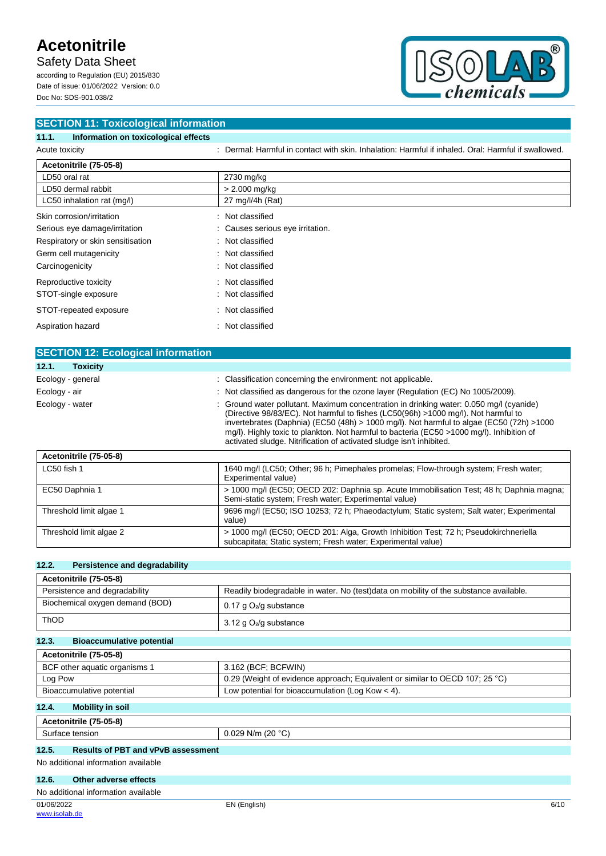Safety Data Sheet

according to Regulation (EU) 2015/830 Date of issue: 01/06/2022 Version: 0.0 Doc No: SDS-901.038/2



| <b>SECTION 11: Toxicological information</b>  |                                                                                                     |  |  |
|-----------------------------------------------|-----------------------------------------------------------------------------------------------------|--|--|
| Information on toxicological effects<br>11.1. |                                                                                                     |  |  |
| Acute toxicity                                | : Dermal: Harmful in contact with skin, Inhalation: Harmful if inhaled, Oral: Harmful if swallowed, |  |  |
| Acetonitrile (75-05-8)                        |                                                                                                     |  |  |
| LD50 oral rat                                 | 2730 mg/kg                                                                                          |  |  |
| LD50 dermal rabbit                            | $> 2.000$ mg/kg                                                                                     |  |  |
| LC50 inhalation rat (mg/l)                    | 27 mg/l/4h (Rat)                                                                                    |  |  |
| Skin corrosion/irritation                     | : Not classified                                                                                    |  |  |
| Serious eye damage/irritation                 | Causes serious eye irritation.                                                                      |  |  |
| Respiratory or skin sensitisation             | Not classified<br>÷.                                                                                |  |  |
| Germ cell mutagenicity                        | : Not classified                                                                                    |  |  |
| Carcinogenicity                               | : Not classified                                                                                    |  |  |
| Reproductive toxicity                         | Not classified                                                                                      |  |  |
| STOT-single exposure                          | : Not classified                                                                                    |  |  |
| STOT-repeated exposure                        | Not classified<br>÷                                                                                 |  |  |
| Aspiration hazard<br>٠                        | Not classified                                                                                      |  |  |

| <b>SECTION 12: Ecological information</b> |                                                                                                                                                                                                                                                                                                                                                                                                                                                |
|-------------------------------------------|------------------------------------------------------------------------------------------------------------------------------------------------------------------------------------------------------------------------------------------------------------------------------------------------------------------------------------------------------------------------------------------------------------------------------------------------|
| 12.1.<br><b>Toxicity</b>                  |                                                                                                                                                                                                                                                                                                                                                                                                                                                |
| Ecology - general                         | : Classification concerning the environment: not applicable.                                                                                                                                                                                                                                                                                                                                                                                   |
| Ecology - air                             | : Not classified as dangerous for the ozone layer (Regulation (EC) No 1005/2009).                                                                                                                                                                                                                                                                                                                                                              |
| Ecology - water                           | : Ground water pollutant. Maximum concentration in drinking water: 0.050 mg/l (cyanide)<br>(Directive 98/83/EC). Not harmful to fishes (LC50(96h) >1000 mg/l). Not harmful to<br>invertebrates (Daphnia) (EC50 (48h) > 1000 mg/l). Not harmful to algae (EC50 (72h) >1000<br>mg/l). Highly toxic to plankton. Not harmful to bacteria (EC50 >1000 mg/l). Inhibition of<br>activated sludge. Nitrification of activated sludge isn't inhibited. |

| Acetonitrile (75-05-8)  |                                                                                                                                                      |
|-------------------------|------------------------------------------------------------------------------------------------------------------------------------------------------|
| LC50 fish 1             | 1640 mg/l (LC50; Other; 96 h; Pimephales promelas; Flow-through system; Fresh water;<br>Experimental value)                                          |
| EC50 Daphnia 1          | > 1000 mg/l (EC50; OECD 202: Daphnia sp. Acute Immobilisation Test; 48 h; Daphnia magna;<br>Semi-static system; Fresh water; Experimental value)     |
| Threshold limit algae 1 | 9696 mg/l (EC50; ISO 10253; 72 h; Phaeodactylum; Static system; Salt water; Experimental<br>value)                                                   |
| Threshold limit algae 2 | > 1000 mg/l (EC50; OECD 201: Alga, Growth Inhibition Test; 72 h; Pseudokirchneriella<br>subcapitata; Static system; Fresh water; Experimental value) |

#### **12.2. Persistence and degradability**

| Acetonitrile (75-05-8)          |                                                                                       |  |
|---------------------------------|---------------------------------------------------------------------------------------|--|
| Persistence and degradability   | Readily biodegradable in water. No (test)data on mobility of the substance available. |  |
| Biochemical oxygen demand (BOD) | $0.17$ g $O_2$ /g substance                                                           |  |
| <b>ThOD</b>                     | 3.12 g $O_2$ /g substance                                                             |  |

#### **12.3. Bioaccumulative potential**

| Acetonitrile (75-05-8)        |                                                                              |  |
|-------------------------------|------------------------------------------------------------------------------|--|
| BCF other aquatic organisms 1 | 3.162 (BCF: BCFWIN)                                                          |  |
| Log Pow                       | 0.29 (Weight of evidence approach; Equivalent or similar to OECD 107; 25 °C) |  |
| Bioaccumulative potential     | Low potential for bioaccumulation (Log Kow $<$ 4).                           |  |

### **12.4. Mobility in soil**

| <b>. በ5-አ</b><br>$\mathbf{a}$<br>.<br>не |                                   |
|------------------------------------------|-----------------------------------|
| .<br>tension<br>、<br>avo                 | 1000<br>N/m<br>14 U<br>∪.∪∠J<br>ີ |

### **12.5. Results of PBT and vPvB assessment**

#### No additional information available

#### **12.6. Other adverse effects**

| No additional information available |  |
|-------------------------------------|--|
|-------------------------------------|--|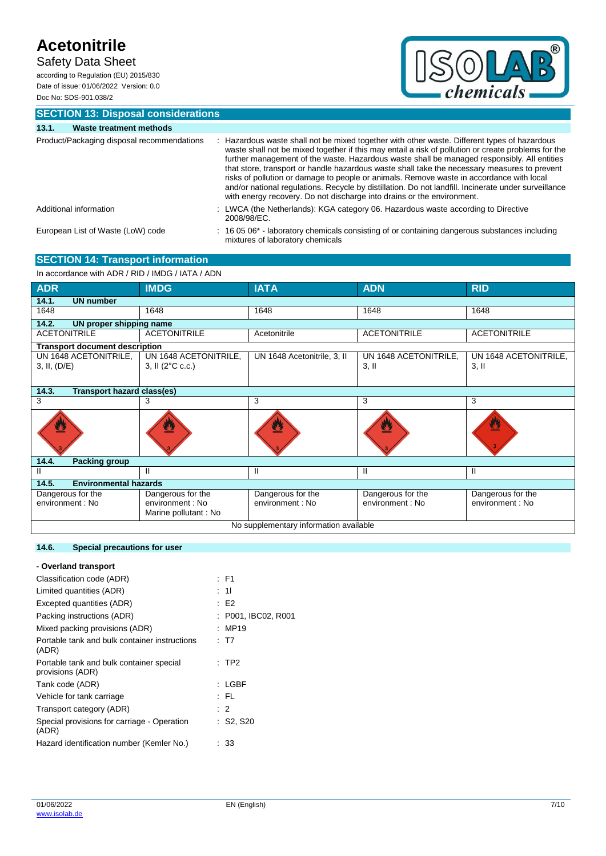Safety Data Sheet

according to Regulation (EU) 2015/830 Date of issue: 01/06/2022 Version: 0.0 Doc No: SDS-901.038/2



**SECTION 13: Disposal considerations**

| 13.1. | <b>Waste treatment methods</b>             |                                                                                                                                                                                                                                                                                                                                                                                                                                                                                                                                                                                                                                                                                |
|-------|--------------------------------------------|--------------------------------------------------------------------------------------------------------------------------------------------------------------------------------------------------------------------------------------------------------------------------------------------------------------------------------------------------------------------------------------------------------------------------------------------------------------------------------------------------------------------------------------------------------------------------------------------------------------------------------------------------------------------------------|
|       | Product/Packaging disposal recommendations | Hazardous waste shall not be mixed together with other waste. Different types of hazardous<br>waste shall not be mixed together if this may entail a risk of pollution or create problems for the<br>further management of the waste. Hazardous waste shall be managed responsibly. All entities<br>that store, transport or handle hazardous waste shall take the necessary measures to prevent<br>risks of pollution or damage to people or animals. Remove waste in accordance with local<br>and/or national regulations. Recycle by distillation. Do not landfill. Incinerate under surveillance<br>with energy recovery. Do not discharge into drains or the environment. |
|       | Additional information                     | : LWCA (the Netherlands): KGA category 06. Hazardous waste according to Directive<br>2008/98/EC.                                                                                                                                                                                                                                                                                                                                                                                                                                                                                                                                                                               |
|       | European List of Waste (LoW) code          | $\div$ 16 05 06 <sup>*</sup> - laboratory chemicals consisting of or containing dangerous substances including<br>mixtures of laboratory chemicals                                                                                                                                                                                                                                                                                                                                                                                                                                                                                                                             |

**SECTION 14: Transport information** In accordance with ADR / RID / IMDG / IATA / ADN

| III accoluatice Will ADN / NID / IMDG / IATA / ADN |                                          |                             |                       |                       |  |  |
|----------------------------------------------------|------------------------------------------|-----------------------------|-----------------------|-----------------------|--|--|
| <b>ADR</b>                                         | <b>IMDG</b>                              | <b>IATA</b>                 | <b>ADN</b>            | <b>RID</b>            |  |  |
| 14.1.<br><b>UN number</b>                          |                                          |                             |                       |                       |  |  |
| 1648                                               | 1648                                     | 1648                        | 1648                  | 1648                  |  |  |
| 14.2.<br>UN proper shipping name                   |                                          |                             |                       |                       |  |  |
| <b>ACETONITRILE</b>                                | <b>ACETONITRILE</b>                      | Acetonitrile                | <b>ACETONITRILE</b>   | <b>ACETONITRILE</b>   |  |  |
| <b>Transport document description</b>              |                                          |                             |                       |                       |  |  |
| UN 1648 ACETONITRILE,                              | UN 1648 ACETONITRILE,                    | UN 1648 Acetonitrile, 3, II | UN 1648 ACETONITRILE, | UN 1648 ACETONITRILE, |  |  |
| 3, II, (D/E)                                       | 3, II (2°C c.c.)                         |                             | $3,$ II               | $3,$ II               |  |  |
|                                                    |                                          |                             |                       |                       |  |  |
| 14.3.<br><b>Transport hazard class(es)</b>         |                                          |                             |                       |                       |  |  |
| 3                                                  | 3                                        | 3                           | 3                     | 3                     |  |  |
| $\boldsymbol{\mathcal{L}}$                         |                                          |                             |                       | W                     |  |  |
| 14.4.<br><b>Packing group</b>                      |                                          |                             |                       |                       |  |  |
| Ш                                                  | н                                        | Ш                           | Ш                     | Ш                     |  |  |
| 14.5.                                              | <b>Environmental hazards</b>             |                             |                       |                       |  |  |
| Dangerous for the                                  | Dangerous for the                        | Dangerous for the           | Dangerous for the     | Dangerous for the     |  |  |
| environment : No                                   | environment : No<br>Marine pollutant: No | environment : No            | environment : No      | environment : No      |  |  |
| No supplementary information available             |                                          |                             |                       |                       |  |  |

#### **14.6. Special precautions for user**

### **- Overland transport** Classification code (ADR) : F1

| Limited quantities (ADR)                                     | : 11                |
|--------------------------------------------------------------|---------------------|
| Excepted quantities (ADR)                                    | : E2                |
| Packing instructions (ADR)                                   | : P001. IBC02. R001 |
| Mixed packing provisions (ADR)                               | : MP19              |
| Portable tank and bulk container instructions<br>(ADR)       | : T7                |
| Portable tank and bulk container special<br>provisions (ADR) | $:$ TP2             |
| Tank code (ADR)                                              | : LGBF              |
| Vehicle for tank carriage                                    | : FL                |
| Transport category (ADR)                                     | $\therefore$ 2      |
| Special provisions for carriage - Operation<br>(ADR)         | $:$ S2, S20         |
| Hazard identification number (Kemler No.)                    | : 33                |
|                                                              |                     |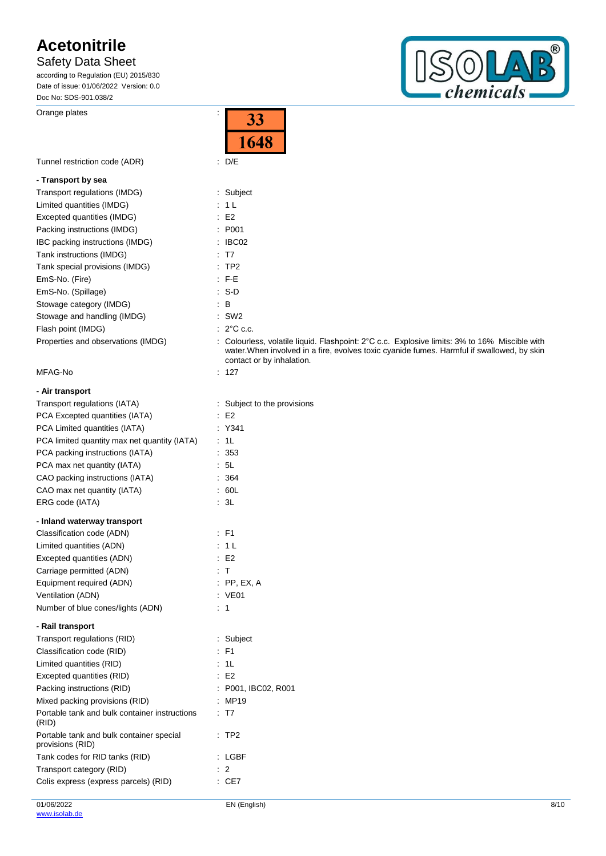Safety Data Sheet

according to Regulation (EU) 2015/830 Date of issue: 01/06/2022 Version: 0.0 Doc No: SDS-901.038/2

Orange plates in the set of the set of the set of the set of the set of the set of the set of the set of the set of the set of the set of the set of the set of the set of the set of the set of the set of the set of the set

 $^{\circledR}$  $\bigcirc$  $\sqrt{P}$ *chemicals* 

|                                                              | 1648                                                                                                                                                                                                                     |
|--------------------------------------------------------------|--------------------------------------------------------------------------------------------------------------------------------------------------------------------------------------------------------------------------|
| Tunnel restriction code (ADR)                                | $\therefore$ D/E                                                                                                                                                                                                         |
| - Transport by sea                                           |                                                                                                                                                                                                                          |
| Transport regulations (IMDG)                                 | : Subject                                                                                                                                                                                                                |
| Limited quantities (IMDG)                                    | : 1L                                                                                                                                                                                                                     |
| Excepted quantities (IMDG)                                   | $\therefore$ E2                                                                                                                                                                                                          |
| Packing instructions (IMDG)                                  | : P001                                                                                                                                                                                                                   |
| IBC packing instructions (IMDG)                              | $\therefore$ IBC02                                                                                                                                                                                                       |
| Tank instructions (IMDG)                                     | $\therefore$ T7                                                                                                                                                                                                          |
| Tank special provisions (IMDG)                               | :TP2                                                                                                                                                                                                                     |
| EmS-No. (Fire)                                               | $F-E$                                                                                                                                                                                                                    |
| EmS-No. (Spillage)                                           | $: S-D$                                                                                                                                                                                                                  |
| Stowage category (IMDG)                                      | $\therefore$ B                                                                                                                                                                                                           |
| Stowage and handling (IMDG)                                  | $:$ SW2                                                                                                                                                                                                                  |
| Flash point (IMDG)                                           | $\therefore$ 2°C c.c.                                                                                                                                                                                                    |
| Properties and observations (IMDG)                           | : Colourless, volatile liquid. Flashpoint: 2°C c.c. Explosive limits: 3% to 16% Miscible with<br>water. When involved in a fire, evolves toxic cyanide fumes. Harmful if swallowed, by skin<br>contact or by inhalation. |
| MFAG-No                                                      | : 127                                                                                                                                                                                                                    |
| - Air transport                                              |                                                                                                                                                                                                                          |
| Transport regulations (IATA)                                 | : Subject to the provisions                                                                                                                                                                                              |
| PCA Excepted quantities (IATA)                               | $\cdot$ E2                                                                                                                                                                                                               |
| PCA Limited quantities (IATA)                                | : Y341                                                                                                                                                                                                                   |
| PCA limited quantity max net quantity (IATA)                 | : 1L                                                                                                                                                                                                                     |
| PCA packing instructions (IATA)                              | .353                                                                                                                                                                                                                     |
| PCA max net quantity (IATA)                                  | : 5L                                                                                                                                                                                                                     |
| CAO packing instructions (IATA)                              | : 364                                                                                                                                                                                                                    |
| CAO max net quantity (IATA)                                  | : 60L                                                                                                                                                                                                                    |
| ERG code (IATA)                                              | : 3L                                                                                                                                                                                                                     |
| - Inland waterway transport                                  |                                                                                                                                                                                                                          |
| Classification code (ADN)                                    | $\therefore$ F1                                                                                                                                                                                                          |
| Limited quantities (ADN)                                     | : 1 L                                                                                                                                                                                                                    |
| Excepted quantities (ADN)                                    | $\therefore$ E2                                                                                                                                                                                                          |
| Carriage permitted (ADN)                                     | : T                                                                                                                                                                                                                      |
| Equipment required (ADN)                                     | $:$ PP, EX, A                                                                                                                                                                                                            |
| Ventilation (ADN)                                            | : VE01                                                                                                                                                                                                                   |
| Number of blue cones/lights (ADN)                            | : 1                                                                                                                                                                                                                      |
| - Rail transport                                             |                                                                                                                                                                                                                          |
| Transport regulations (RID)                                  | : Subject                                                                                                                                                                                                                |
| Classification code (RID)                                    | $:$ F1                                                                                                                                                                                                                   |
| Limited quantities (RID)                                     | : 1L                                                                                                                                                                                                                     |
| Excepted quantities (RID)                                    | $\therefore$ E2                                                                                                                                                                                                          |
| Packing instructions (RID)                                   | : P001, IBC02, R001                                                                                                                                                                                                      |
| Mixed packing provisions (RID)                               | : MP19                                                                                                                                                                                                                   |
| Portable tank and bulk container instructions<br>(RID)       | : T7                                                                                                                                                                                                                     |
| Portable tank and bulk container special<br>provisions (RID) | :TP2                                                                                                                                                                                                                     |
| Tank codes for RID tanks (RID)                               | : LGBF                                                                                                                                                                                                                   |
| Transport category (RID)                                     | $\therefore$ 2                                                                                                                                                                                                           |
| Colis express (express parcels) (RID)                        | : CE7                                                                                                                                                                                                                    |

33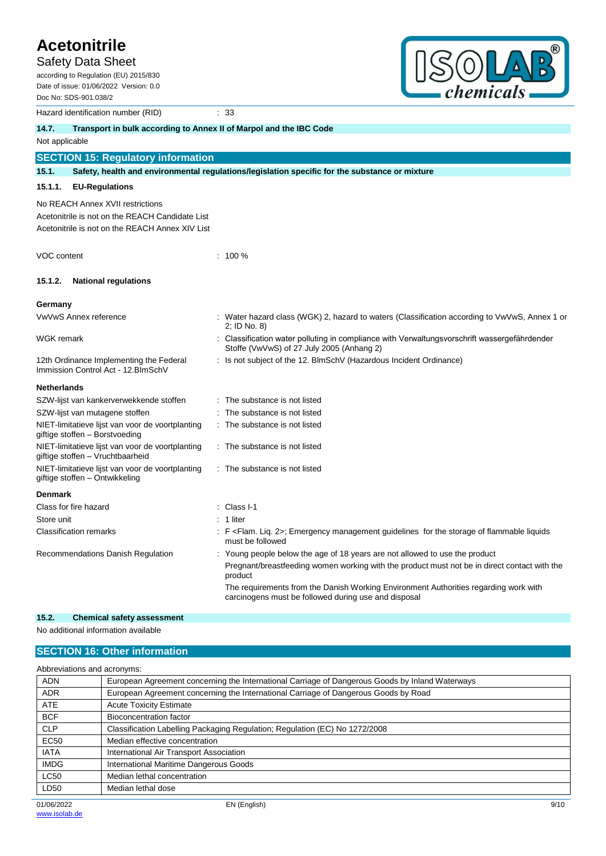Safety Data Sheet according to Regulation (EU) 2015/830

Date of issue: 01/06/2022 Version: 0.0 Doc No: SDS-901.038/2

Hazard identification number (RID) : 33



|                    | Hazard identification number (RID)                                                   |                                                                                                                                              |
|--------------------|--------------------------------------------------------------------------------------|----------------------------------------------------------------------------------------------------------------------------------------------|
| 14.7.              | Transport in bulk according to Annex II of Marpol and the IBC Code                   |                                                                                                                                              |
| Not applicable     |                                                                                      |                                                                                                                                              |
|                    | <b>SECTION 15: Regulatory information</b>                                            |                                                                                                                                              |
| 15.1.              |                                                                                      | Safety, health and environmental regulations/legislation specific for the substance or mixture                                               |
| 15.1.1.            | <b>EU-Regulations</b>                                                                |                                                                                                                                              |
|                    | No REACH Annex XVII restrictions                                                     |                                                                                                                                              |
|                    | Acetonitrile is not on the REACH Candidate List                                      |                                                                                                                                              |
|                    | Acetonitrile is not on the REACH Annex XIV List                                      |                                                                                                                                              |
| VOC content        |                                                                                      | $: 100 \%$                                                                                                                                   |
| 15.1.2.            | <b>National regulations</b>                                                          |                                                                                                                                              |
| Germany            |                                                                                      |                                                                                                                                              |
|                    | VwVwS Annex reference                                                                | : Water hazard class (WGK) 2, hazard to waters (Classification according to VwVwS, Annex 1 or<br>2; ID No. 8)                                |
| <b>WGK</b> remark  |                                                                                      | Classification water polluting in compliance with Verwaltungsvorschrift wassergefährdender<br>Stoffe (VwVwS) of 27 July 2005 (Anhang 2)      |
|                    | 12th Ordinance Implementing the Federal<br>Immission Control Act - 12. BlmSchV       | : Is not subject of the 12. BlmSchV (Hazardous Incident Ordinance)                                                                           |
| <b>Netherlands</b> |                                                                                      |                                                                                                                                              |
|                    | SZW-lijst van kankerverwekkende stoffen                                              | : The substance is not listed                                                                                                                |
|                    | SZW-lijst van mutagene stoffen                                                       | The substance is not listed                                                                                                                  |
|                    | NIET-limitatieve lijst van voor de voortplanting<br>giftige stoffen - Borstvoeding   | The substance is not listed                                                                                                                  |
|                    | NIET-limitatieve lijst van voor de voortplanting<br>giftige stoffen - Vruchtbaarheid | : The substance is not listed                                                                                                                |
|                    | NIET-limitatieve lijst van voor de voortplanting<br>giftige stoffen – Ontwikkeling   | : The substance is not listed                                                                                                                |
| <b>Denmark</b>     |                                                                                      |                                                                                                                                              |
|                    | Class for fire hazard                                                                | Class I-1                                                                                                                                    |
| Store unit         |                                                                                      | 1 liter                                                                                                                                      |
|                    | <b>Classification remarks</b>                                                        | : F <flam. 2="" lig.="">; Emergency management guidelines for the storage of flammable liquids<br/>must be followed</flam.>                  |
|                    | Recommendations Danish Regulation                                                    | Young people below the age of 18 years are not allowed to use the product                                                                    |
|                    |                                                                                      | Pregnant/breastfeeding women working with the product must not be in direct contact with the<br>product                                      |
|                    |                                                                                      | The requirements from the Danish Working Environment Authorities regarding work with<br>carcinogens must be followed during use and disposal |
| 152                | Chamical estaty secocemant                                                           |                                                                                                                                              |

**15.2. Chemical safety assessment**

No additional information available

### **SECTION 16: Other information**

| Abbreviations and acronyms: |                                                                                                 |  |  |  |  |
|-----------------------------|-------------------------------------------------------------------------------------------------|--|--|--|--|
| <b>ADN</b>                  | European Agreement concerning the International Carriage of Dangerous Goods by Inland Waterways |  |  |  |  |
| <b>ADR</b>                  | European Agreement concerning the International Carriage of Dangerous Goods by Road             |  |  |  |  |
| <b>ATE</b>                  | <b>Acute Toxicity Estimate</b>                                                                  |  |  |  |  |
| <b>BCF</b>                  | Bioconcentration factor                                                                         |  |  |  |  |
| <b>CLP</b>                  | Classification Labelling Packaging Regulation; Regulation (EC) No 1272/2008                     |  |  |  |  |
| <b>EC50</b>                 | Median effective concentration                                                                  |  |  |  |  |
| <b>IATA</b>                 | International Air Transport Association                                                         |  |  |  |  |
| <b>IMDG</b>                 | International Maritime Dangerous Goods                                                          |  |  |  |  |
| <b>LC50</b>                 | Median lethal concentration                                                                     |  |  |  |  |
| LD50                        | Median lethal dose                                                                              |  |  |  |  |